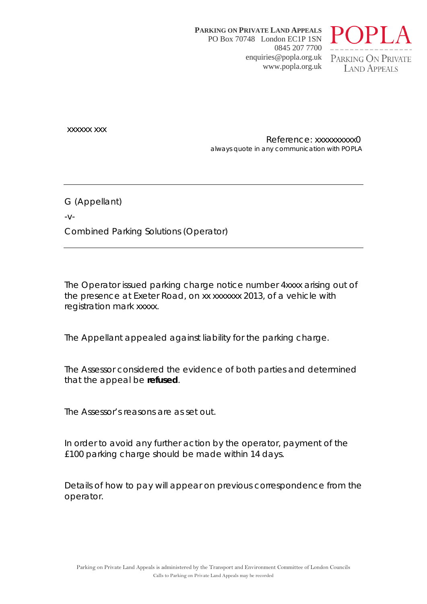**PARKING ON PRIVATE LAND APPEALS** PO Box 70748 London EC1P 1SN 0845 207 7700 enquiries@popla.org.uk www.popla.org.uk



xxxxxx xxx

Reference: xxxxxxxxxx0 always quote in any communication with POPLA

G (Appellant)

 $-V$ -

Combined Parking Solutions (Operator)

The Operator issued parking charge notice number 4xxxx arising out of the presence at Exeter Road, on xx xxxxxxx 2013, of a vehicle with registration mark xxxxx.

The Appellant appealed against liability for the parking charge.

The Assessor considered the evidence of both parties and determined that the appeal be **refused**.

The Assessor's reasons are as set out.

In order to avoid any further action by the operator, payment of the £100 parking charge should be made within 14 days.

Details of how to pay will appear on previous correspondence from the operator.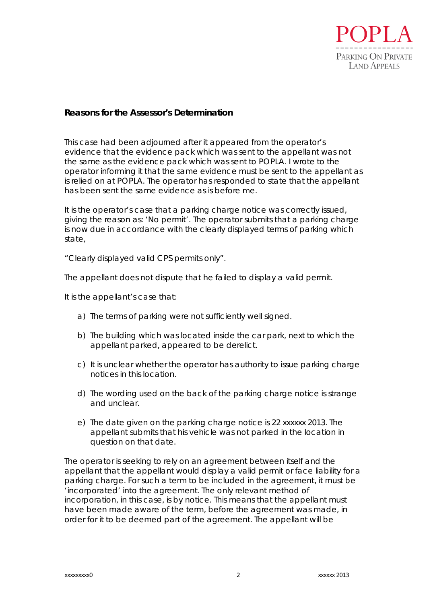

## **Reasons for the Assessor's Determination**

This case had been adjourned after it appeared from the operator's evidence that the evidence pack which was sent to the appellant was not the same as the evidence pack which was sent to POPLA. I wrote to the operator informing it that the same evidence must be sent to the appellant as is relied on at POPLA. The operator has responded to state that the appellant has been sent the same evidence as is before me.

It is the operator's case that a parking charge notice was correctly issued, giving the reason as: *'No permit'*. The operator submits that a parking charge is now due in accordance with the clearly displayed terms of parking which state,

"*Clearly displayed valid CPS permits only".*

The appellant does not dispute that he failed to display a valid permit.

It is the appellant's case that:

- a) The terms of parking were not sufficiently well signed.
- b) The building which was located inside the car park, next to which the appellant parked, appeared to be derelict.
- c) It is unclear whether the operator has authority to issue parking charge notices in this location.
- d) The wording used on the back of the parking charge notice is strange and unclear.
- e) The date given on the parking charge notice is 22 xxxxxx 2013. The appellant submits that his vehicle was not parked in the location in question on that date.

The operator is seeking to rely on an agreement between itself and the appellant that the appellant would display a valid permit or face liability for a parking charge. For such a term to be included in the agreement, it must be 'incorporated' into the agreement. The only relevant method of incorporation, in this case, is by notice. This means that the appellant must have been made aware of the term, before the agreement was made, in order for it to be deemed part of the agreement. The appellant will be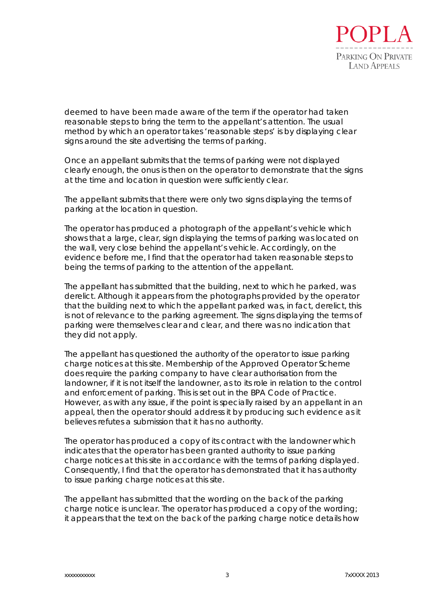

deemed to have been made aware of the term if the operator had taken reasonable steps to bring the term to the appellant's attention. The usual method by which an operator takes 'reasonable steps' is by displaying clear signs around the site advertising the terms of parking.

Once an appellant submits that the terms of parking were not displayed clearly enough, the onus is then on the operator to demonstrate that the signs at the time and location in question were sufficiently clear.

The appellant submits that there were only two signs displaying the terms of parking at the location in question.

The operator has produced a photograph of the appellant's vehicle which shows that a large, clear, sign displaying the terms of parking was located on the wall, very close behind the appellant's vehicle. Accordingly, on the evidence before me, I find that the operator had taken reasonable steps to being the terms of parking to the attention of the appellant.

The appellant has submitted that the building, next to which he parked, was derelict. Although it appears from the photographs provided by the operator that the building next to which the appellant parked was, in fact, derelict, this is not of relevance to the parking agreement. The signs displaying the terms of parking were themselves clear and clear, and there was no indication that they did not apply.

The appellant has questioned the authority of the operator to issue parking charge notices at this site. Membership of the Approved Operator Scheme does require the parking company to have clear authorisation from the landowner, if it is not itself the landowner, as to its role in relation to the control and enforcement of parking. This is set out in the BPA Code of Practice. However, as with any issue, if the point is specially raised by an appellant in an appeal, then the operator should address it by producing such evidence as it believes refutes a submission that it has no authority.

The operator has produced a copy of its contract with the landowner which indicates that the operator has been granted authority to issue parking charge notices at this site in accordance with the terms of parking displayed. Consequently, I find that the operator has demonstrated that it has authority to issue parking charge notices at this site.

The appellant has submitted that the wording on the back of the parking charge notice is unclear. The operator has produced a copy of the wording; it appears that the text on the back of the parking charge notice details how